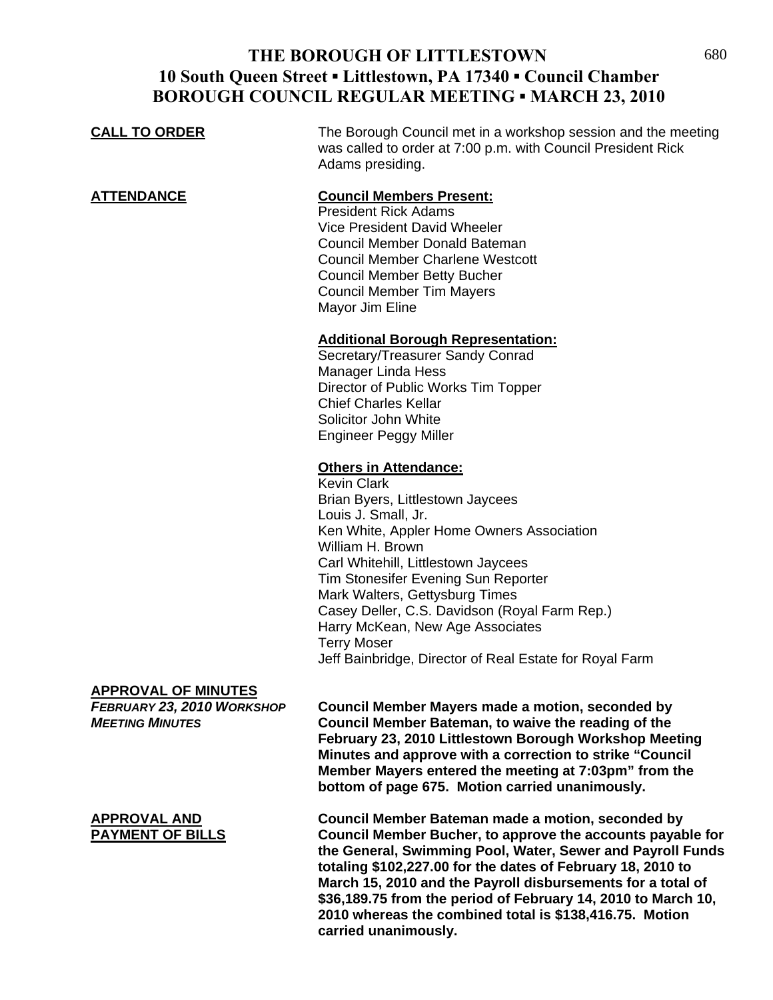## **THE BOROUGH OF LITTLESTOWN** 680 **10 South Queen Street ▪ Littlestown, PA 17340 ▪ Council Chamber BOROUGH COUNCIL REGULAR MEETING ▪ MARCH 23, 2010**

| <b>CALL TO ORDER</b>                                                               | The Borough Council met in a workshop session and the meeting<br>was called to order at 7:00 p.m. with Council President Rick<br>Adams presiding.                                                                                                                                                                                                                                                                                                                    |
|------------------------------------------------------------------------------------|----------------------------------------------------------------------------------------------------------------------------------------------------------------------------------------------------------------------------------------------------------------------------------------------------------------------------------------------------------------------------------------------------------------------------------------------------------------------|
| <b>ATTENDANCE</b>                                                                  | <b>Council Members Present:</b><br><b>President Rick Adams</b><br>Vice President David Wheeler<br>Council Member Donald Bateman<br><b>Council Member Charlene Westcott</b><br><b>Council Member Betty Bucher</b><br><b>Council Member Tim Mayers</b><br>Mayor Jim Eline                                                                                                                                                                                              |
|                                                                                    | <b>Additional Borough Representation:</b><br>Secretary/Treasurer Sandy Conrad<br><b>Manager Linda Hess</b><br>Director of Public Works Tim Topper<br><b>Chief Charles Kellar</b><br>Solicitor John White<br><b>Engineer Peggy Miller</b>                                                                                                                                                                                                                             |
|                                                                                    | <b>Others in Attendance:</b><br><b>Kevin Clark</b><br>Brian Byers, Littlestown Jaycees<br>Louis J. Small, Jr.<br>Ken White, Appler Home Owners Association<br>William H. Brown<br>Carl Whitehill, Littlestown Jaycees<br>Tim Stonesifer Evening Sun Reporter<br>Mark Walters, Gettysburg Times<br>Casey Deller, C.S. Davidson (Royal Farm Rep.)<br>Harry McKean, New Age Associates<br><b>Terry Moser</b><br>Jeff Bainbridge, Director of Real Estate for Royal Farm |
| <b>APPROVAL OF MINUTES</b><br>FEBRUARY 23, 2010 WORKSHOP<br><b>MEETING MINUTES</b> | <b>Council Member Mayers made a motion, seconded by</b><br>Council Member Bateman, to waive the reading of the<br>February 23, 2010 Littlestown Borough Workshop Meeting<br>Minutes and approve with a correction to strike "Council<br>Member Mayers entered the meeting at 7:03pm" from the<br>bottom of page 675. Motion carried unanimously.                                                                                                                     |

**APPROVAL AND Council Member Bateman made a motion, seconded by PAYMENT OF BILLS Council Member Bucher, to approve the accounts payable for the General, Swimming Pool, Water, Sewer and Payroll Funds totaling \$102,227.00 for the dates of February 18, 2010 to March 15, 2010 and the Payroll disbursements for a total of \$36,189.75 from the period of February 14, 2010 to March 10, 2010 whereas the combined total is \$138,416.75. Motion carried unanimously.**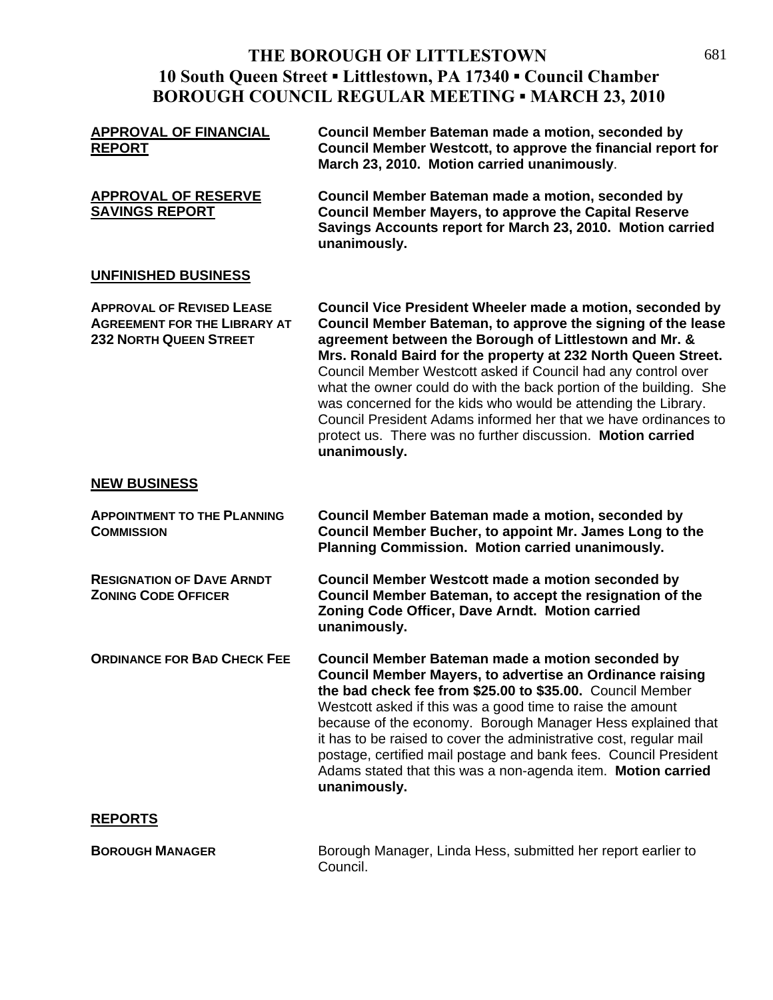# THE BOROUGH OF LITTLESTOWN 681 **10 South Queen Street ▪ Littlestown, PA 17340 ▪ Council Chamber BOROUGH COUNCIL REGULAR MEETING ▪ MARCH 23, 2010**

| <b>APPROVAL OF FINANCIAL</b><br><b>REPORT</b>                                                            | Council Member Bateman made a motion, seconded by<br>Council Member Westcott, to approve the financial report for<br>March 23, 2010. Motion carried unanimously.                                                                                                                                                                                                                                                                                                                                                                                                                                               |
|----------------------------------------------------------------------------------------------------------|----------------------------------------------------------------------------------------------------------------------------------------------------------------------------------------------------------------------------------------------------------------------------------------------------------------------------------------------------------------------------------------------------------------------------------------------------------------------------------------------------------------------------------------------------------------------------------------------------------------|
| <b>APPROVAL OF RESERVE</b><br><b>SAVINGS REPORT</b>                                                      | Council Member Bateman made a motion, seconded by<br><b>Council Member Mayers, to approve the Capital Reserve</b><br>Savings Accounts report for March 23, 2010. Motion carried<br>unanimously.                                                                                                                                                                                                                                                                                                                                                                                                                |
| <b>UNFINISHED BUSINESS</b>                                                                               |                                                                                                                                                                                                                                                                                                                                                                                                                                                                                                                                                                                                                |
| <b>APPROVAL OF REVISED LEASE</b><br><b>AGREEMENT FOR THE LIBRARY AT</b><br><b>232 NORTH QUEEN STREET</b> | Council Vice President Wheeler made a motion, seconded by<br>Council Member Bateman, to approve the signing of the lease<br>agreement between the Borough of Littlestown and Mr. &<br>Mrs. Ronald Baird for the property at 232 North Queen Street.<br>Council Member Westcott asked if Council had any control over<br>what the owner could do with the back portion of the building. She<br>was concerned for the kids who would be attending the Library.<br>Council President Adams informed her that we have ordinances to<br>protect us. There was no further discussion. Motion carried<br>unanimously. |
| <b>NEW BUSINESS</b>                                                                                      |                                                                                                                                                                                                                                                                                                                                                                                                                                                                                                                                                                                                                |
| <b>APPOINTMENT TO THE PLANNING</b><br><b>COMMISSION</b>                                                  | Council Member Bateman made a motion, seconded by<br>Council Member Bucher, to appoint Mr. James Long to the<br>Planning Commission. Motion carried unanimously.                                                                                                                                                                                                                                                                                                                                                                                                                                               |
| <b>RESIGNATION OF DAVE ARNDT</b><br><b>ZONING CODE OFFICER</b>                                           | <b>Council Member Westcott made a motion seconded by</b><br>Council Member Bateman, to accept the resignation of the<br>Zoning Code Officer, Dave Arndt. Motion carried<br>unanimously.                                                                                                                                                                                                                                                                                                                                                                                                                        |
| <b>ORDINANCE FOR BAD CHECK FEE</b>                                                                       | Council Member Bateman made a motion seconded by<br><b>Council Member Mayers, to advertise an Ordinance raising</b><br>the bad check fee from \$25.00 to \$35.00. Council Member<br>Westcott asked if this was a good time to raise the amount<br>because of the economy. Borough Manager Hess explained that<br>it has to be raised to cover the administrative cost, regular mail<br>postage, certified mail postage and bank fees. Council President<br>Adams stated that this was a non-agenda item. Motion carried<br>unanimously.                                                                        |
| <u>REPORTS</u>                                                                                           |                                                                                                                                                                                                                                                                                                                                                                                                                                                                                                                                                                                                                |
| <b>BOROUGH MANAGER</b>                                                                                   | Borough Manager, Linda Hess, submitted her report earlier to<br>Council.                                                                                                                                                                                                                                                                                                                                                                                                                                                                                                                                       |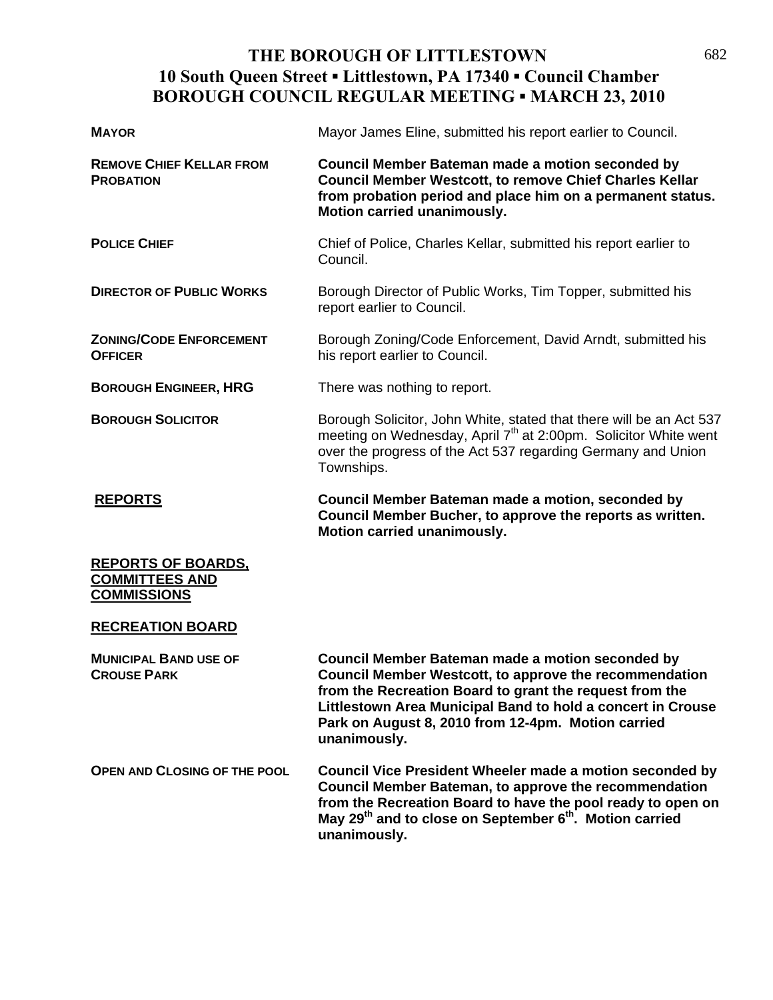# **THE BOROUGH OF LITTLESTOWN** 682 **10 South Queen Street ▪ Littlestown, PA 17340 ▪ Council Chamber BOROUGH COUNCIL REGULAR MEETING ▪ MARCH 23, 2010**

| <b>MAYOR</b>                                                             | Mayor James Eline, submitted his report earlier to Council.                                                                                                                                                                                                                                                |
|--------------------------------------------------------------------------|------------------------------------------------------------------------------------------------------------------------------------------------------------------------------------------------------------------------------------------------------------------------------------------------------------|
| <b>REMOVE CHIEF KELLAR FROM</b><br><b>PROBATION</b>                      | Council Member Bateman made a motion seconded by<br><b>Council Member Westcott, to remove Chief Charles Kellar</b><br>from probation period and place him on a permanent status.<br>Motion carried unanimously.                                                                                            |
| <b>POLICE CHIEF</b>                                                      | Chief of Police, Charles Kellar, submitted his report earlier to<br>Council.                                                                                                                                                                                                                               |
| <b>DIRECTOR OF PUBLIC WORKS</b>                                          | Borough Director of Public Works, Tim Topper, submitted his<br>report earlier to Council.                                                                                                                                                                                                                  |
| <b>ZONING/CODE ENFORCEMENT</b><br><b>OFFICER</b>                         | Borough Zoning/Code Enforcement, David Arndt, submitted his<br>his report earlier to Council.                                                                                                                                                                                                              |
| <b>BOROUGH ENGINEER, HRG</b>                                             | There was nothing to report.                                                                                                                                                                                                                                                                               |
| <b>BOROUGH SOLICITOR</b>                                                 | Borough Solicitor, John White, stated that there will be an Act 537<br>meeting on Wednesday, April 7 <sup>th</sup> at 2:00pm. Solicitor White went<br>over the progress of the Act 537 regarding Germany and Union<br>Townships.                                                                           |
| <b>REPORTS</b>                                                           | Council Member Bateman made a motion, seconded by<br>Council Member Bucher, to approve the reports as written.<br>Motion carried unanimously.                                                                                                                                                              |
| <b>REPORTS OF BOARDS.</b><br><b>COMMITTEES AND</b><br><b>COMMISSIONS</b> |                                                                                                                                                                                                                                                                                                            |
| <b>RECREATION BOARD</b>                                                  |                                                                                                                                                                                                                                                                                                            |
| <b>MUNICIPAL BAND USE OF</b><br><b>CROUSE PARK</b>                       | Council Member Bateman made a motion seconded by<br>Council Member Westcott, to approve the recommendation<br>from the Recreation Board to grant the request from the<br>Littlestown Area Municipal Band to hold a concert in Crouse<br>Park on August 8, 2010 from 12-4pm. Motion carried<br>unanimously. |
| OPEN AND CLOSING OF THE POOL                                             | Council Vice President Wheeler made a motion seconded by<br><b>Council Member Bateman, to approve the recommendation</b><br>from the Recreation Board to have the pool ready to open on<br>May 29 <sup>th</sup> and to close on September 6 <sup>th</sup> . Motion carried<br>unanimously.                 |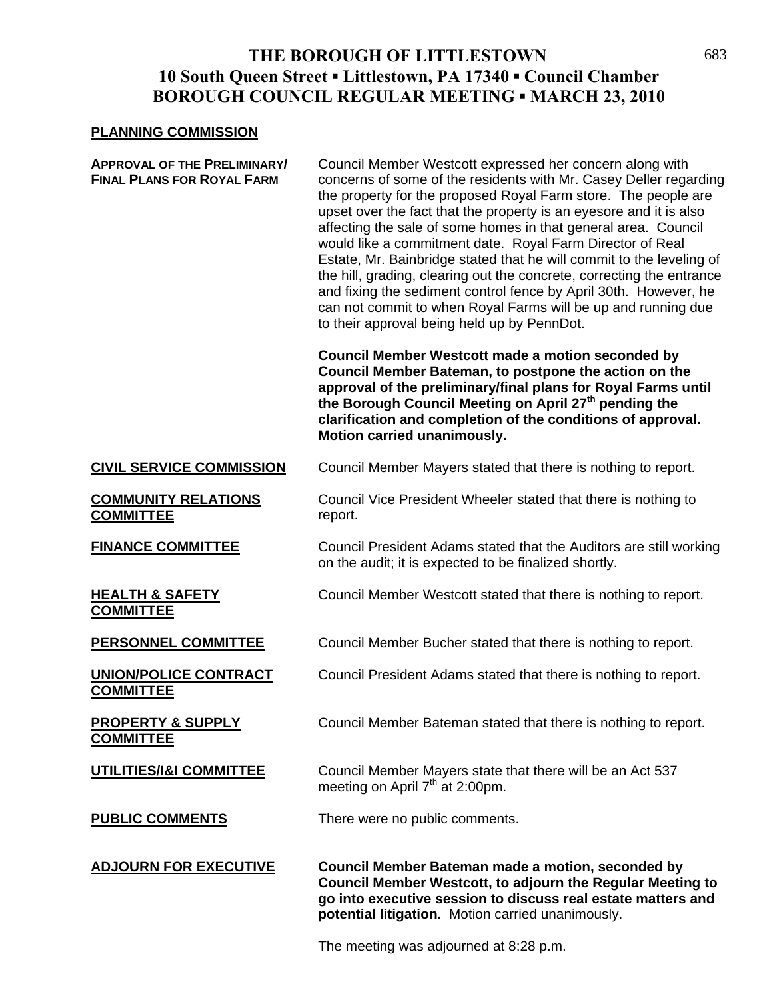## **THE BOROUGH OF LITTLESTOWN** 683 **10 South Queen Street ▪ Littlestown, PA 17340 ▪ Council Chamber BOROUGH COUNCIL REGULAR MEETING ▪ MARCH 23, 2010**

#### **PLANNING COMMISSION**

**APPROVAL OF THE PRELIMINARY/** Council Member Westcott expressed her concern along with **FINAL PLANS FOR ROYAL FARM** concerns of some of the residents with Mr. Casey Deller regarding the property for the proposed Royal Farm store. The people are upset over the fact that the property is an eyesore and it is also affecting the sale of some homes in that general area. Council would like a commitment date. Royal Farm Director of Real Estate, Mr. Bainbridge stated that he will commit to the leveling of the hill, grading, clearing out the concrete, correcting the entrance and fixing the sediment control fence by April 30th. However, he can not commit to when Royal Farms will be up and running due to their approval being held up by PennDot.

> **Council Member Westcott made a motion seconded by Council Member Bateman, to postpone the action on the approval of the preliminary/final plans for Royal Farms until**  the Borough Council Meeting on April 27<sup>th</sup> pending the **clarification and completion of the conditions of approval. Motion carried unanimously.**

### **CIVIL SERVICE COMMISSION** Council Member Mayers stated that there is nothing to report.

**COMMUNITY RELATIONS** Council Vice President Wheeler stated that there is nothing to **COMMITTEE** report.

**COMMITTEE**

**COMMITTEE**

**COMMITTEE**

**FINANCE COMMITTEE** Council President Adams stated that the Auditors are still working on the audit; it is expected to be finalized shortly.

**HEALTH & SAFETY** Council Member Westcott stated that there is nothing to report.

**PERSONNEL COMMITTEE** Council Member Bucher stated that there is nothing to report.

**UNION/POLICE CONTRACT** Council President Adams stated that there is nothing to report.

**PROPERTY & SUPPLY** Council Member Bateman stated that there is nothing to report.

**UTILITIES/I&I COMMITTEE** Council Member Mayers state that there will be an Act 537 meeting on April  $7<sup>th</sup>$  at 2:00pm.

**PUBLIC COMMENTS** There were no public comments.

**ADJOURN FOR EXECUTIVE Council Member Bateman made a motion, seconded by Council Member Westcott, to adjourn the Regular Meeting to go into executive session to discuss real estate matters and potential litigation.** Motion carried unanimously.

The meeting was adjourned at 8:28 p.m.